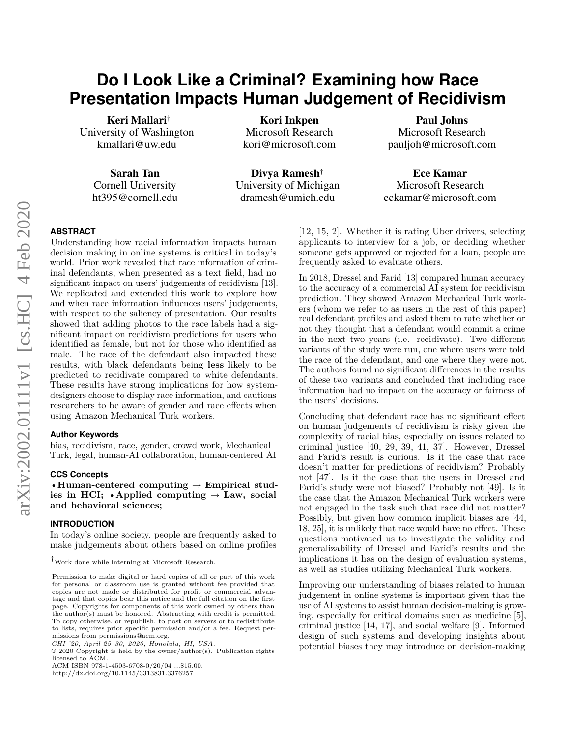# **Do I Look Like a Criminal? Examining how Race Presentation Impacts Human Judgement of Recidivism**

Keri Mallari† University of Washington kmallari@uw.edu

> Sarah Tan Cornell University ht395@cornell.edu

Kori Inkpen Microsoft Research kori@microsoft.com

Divya Ramesh† University of Michigan dramesh@umich.edu

Paul Johns Microsoft Research pauljoh@microsoft.com

Ece Kamar Microsoft Research eckamar@microsoft.com

# **ABSTRACT**

[U](#page-0-0)nderstanding how racial information impacts human decision making in online systems is critical in today's world. Prior work revealed that race information of criminal defendants, when presented as a text field, had no significant impact on users' judgements of recidivism [\[13\]](#page-10-0). We replicated and extended this work to explore how and when race information influences users' judgements, with respect to the saliency of presentation. Our results showed that adding photos to the race labels had a significant impact on recidivism predictions for users who identified as female, but not for those who identified as male. The race of the defendant also impacted these results, with black defendants being **less** likely to be predicted to recidivate compared to white defendants. These results have strong implications for how systemdesigners choose to display race information, and cautions researchers to be aware of gender and race effects when using Amazon Mechanical Turk workers.

#### **Author Keywords**

bias, recidivism, race, gender, crowd work, Mechanical Turk, legal, human-AI collaboration, human-centered AI

#### **CCS Concepts**

•**Human-centered computing** → **Empirical studies in HCI;** •**Applied computing** → **Law, social and behavioral sciences;**

#### **INTRODUCTION**

In today's online society, people are frequently asked to make judgements about others based on online profiles

ACM ISBN 978-1-4503-6708-0/20/04 ...\$15.00.

http://dx.doi.org/10.1145/3313831.3376257

[\[12,](#page-10-1) [15,](#page-10-2) [2\]](#page-10-3). Whether it is rating Uber drivers, selecting applicants to interview for a job, or deciding whether someone gets approved or rejected for a loan, people are frequently asked to evaluate others.

In 2018, Dressel and Farid [\[13\]](#page-10-0) compared human accuracy to the accuracy of a commercial AI system for recidivism prediction. They showed Amazon Mechanical Turk workers (whom we refer to as users in the rest of this paper) real defendant profiles and asked them to rate whether or not they thought that a defendant would commit a crime in the next two years (i.e. recidivate). Two different variants of the study were run, one where users were told the race of the defendant, and one where they were not. The authors found no significant differences in the results of these two variants and concluded that including race information had no impact on the accuracy or fairness of the users' decisions.

Concluding that defendant race has no significant effect on human judgements of recidivism is risky given the complexity of racial bias, especially on issues related to criminal justice [\[40,](#page-11-0) [29,](#page-11-1) [39,](#page-11-2) [41,](#page-11-3) [37\]](#page-11-4). However, Dressel and Farid's result is curious. Is it the case that race doesn't matter for predictions of recidivism? Probably not [\[47\]](#page-12-0). Is it the case that the users in Dressel and Farid's study were not biased? Probably not [\[49\]](#page-12-1). Is it the case that the Amazon Mechanical Turk workers were not engaged in the task such that race did not matter? Possibly, but given how common implicit biases are [\[44,](#page-11-5) [18,](#page-10-4) [25\]](#page-11-6), it is unlikely that race would have no effect. These questions motivated us to investigate the validity and generalizability of Dressel and Farid's results and the implications it has on the design of evaluation systems, as well as studies utilizing Mechanical Turk workers.

Improving our understanding of biases related to human judgement in online systems is important given that the use of AI systems to assist human decision-making is growing, especially for critical domains such as medicine [\[5\]](#page-10-5), criminal justice [\[14,](#page-10-6) [17\]](#page-10-7), and social welfare [\[9\]](#page-10-8). Informed design of such systems and developing insights about potential biases they may introduce on decision-making

<sup>†</sup>Work done while interning at Microsoft Research.

<span id="page-0-0"></span>Permission to make digital or hard copies of all or part of this work for personal or classroom use is granted without fee provided that copies are not made or distributed for profit or commercial advantage and that copies bear this notice and the full citation on the first page. Copyrights for components of this work owned by others than the author(s) must be honored. Abstracting with credit is permitted. To copy otherwise, or republish, to post on servers or to redistribute to lists, requires prior specific permission and/or a fee. Request permissions from permissions@acm.org.

*CHI '20, April 25–30, 2020, Honolulu, HI, USA.*

<sup>©</sup> 2020 Copyright is held by the owner/author(s). Publication rights licensed to ACM.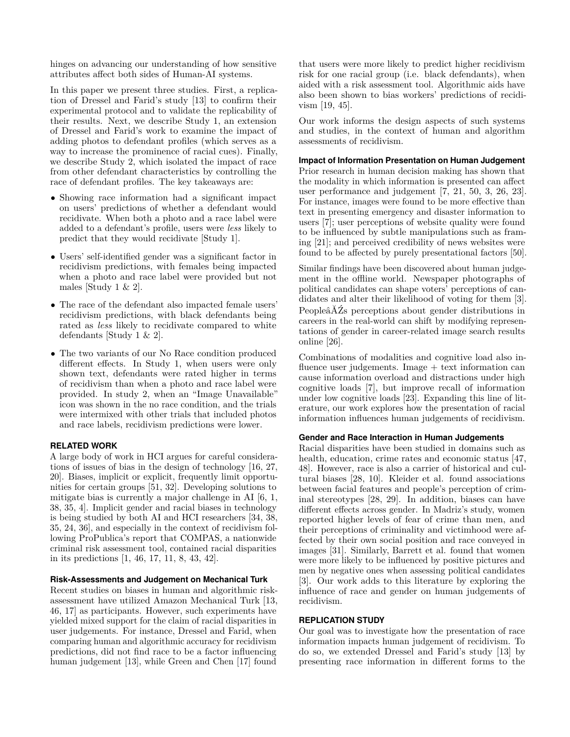hinges on advancing our understanding of how sensitive attributes affect both sides of Human-AI systems.

In this paper we present three studies. First, a replication of Dressel and Farid's study [\[13\]](#page-10-0) to confirm their experimental protocol and to validate the replicability of their results. Next, we describe Study 1, an extension of Dressel and Farid's work to examine the impact of adding photos to defendant profiles (which serves as a way to increase the prominence of racial cues). Finally, we describe Study 2, which isolated the impact of race from other defendant characteristics by controlling the race of defendant profiles. The key takeaways are:

- Showing race information had a significant impact on users' predictions of whether a defendant would recidivate. When both a photo and a race label were added to a defendant's profile, users were *less* likely to predict that they would recidivate [Study 1].
- Users' self-identified gender was a significant factor in recidivism predictions, with females being impacted when a photo and race label were provided but not males [Study 1  $\&$  2].
- The race of the defendant also impacted female users' recidivism predictions, with black defendants being rated as *less* likely to recidivate compared to white defendants [Study 1 & 2].
- The two variants of our No Race condition produced different effects. In Study 1, when users were only shown text, defendants were rated higher in terms of recidivism than when a photo and race label were provided. In study 2, when an "Image Unavailable" icon was shown in the no race condition, and the trials were intermixed with other trials that included photos and race labels, recidivism predictions were lower.

# **RELATED WORK**

A large body of work in HCI argues for careful considerations of issues of bias in the design of technology [\[16,](#page-10-9) [27,](#page-11-7) [20\]](#page-10-10). Biases, implicit or explicit, frequently limit opportunities for certain groups [\[51,](#page-12-2) [32\]](#page-11-8). Developing solutions to mitigate bias is currently a major challenge in AI [\[6,](#page-10-11) [1,](#page-10-12) [38,](#page-11-9) [35,](#page-11-10) [4\]](#page-10-13). Implicit gender and racial biases in technology is being studied by both AI and HCI researchers [\[34,](#page-11-11) [38,](#page-11-9) [35,](#page-11-10) [24,](#page-11-12) [36\]](#page-11-13), and especially in the context of recidivism following ProPublica's report that COMPAS, a nationwide criminal risk assessment tool, contained racial disparities in its predictions [\[1,](#page-10-12) [46,](#page-12-3) [17,](#page-10-7) [11,](#page-10-14) [8,](#page-10-15) [43,](#page-11-14) [42\]](#page-11-15).

# **Risk-Assessments and Judgement on Mechanical Turk**

Recent studies on biases in human and algorithmic riskassessment have utilized Amazon Mechanical Turk [\[13,](#page-10-0) [46,](#page-12-3) [17\]](#page-10-7) as participants. However, such experiments have yielded mixed support for the claim of racial disparities in user judgements. For instance, Dressel and Farid, when comparing human and algorithmic accuracy for recidivism predictions, did not find race to be a factor influencing human judgement [\[13\]](#page-10-0), while Green and Chen [\[17\]](#page-10-7) found

that users were more likely to predict higher recidivism risk for one racial group (i.e. black defendants), when aided with a risk assessment tool. Algorithmic aids have also been shown to bias workers' predictions of recidivism [\[19,](#page-10-16) [45\]](#page-12-4).

Our work informs the design aspects of such systems and studies, in the context of human and algorithm assessments of recidivism.

### **Impact of Information Presentation on Human Judgement**

Prior research in human decision making has shown that the modality in which information is presented can affect user performance and judgement [\[7,](#page-10-17) [21,](#page-10-18) [50,](#page-12-5) [3,](#page-10-19) [26,](#page-11-16) [23\]](#page-11-17). For instance, images were found to be more effective than text in presenting emergency and disaster information to users [\[7\]](#page-10-17); user perceptions of website quality were found to be influenced by subtle manipulations such as framing [\[21\]](#page-10-18); and perceived credibility of news websites were found to be affected by purely presentational factors [\[50\]](#page-12-5).

Similar findings have been discovered about human judgement in the offline world. Newspaper photographs of political candidates can shape voters' perceptions of candidates and alter their likelihood of voting for them [\[3\]](#page-10-19). PeopleâĂŹs perceptions about gender distributions in careers in the real-world can shift by modifying representations of gender in career-related image search results online [\[26\]](#page-11-16).

Combinations of modalities and cognitive load also influence user judgements. Image + text information can cause information overload and distractions under high cognitive loads [\[7\]](#page-10-17), but improve recall of information under low cognitive loads [\[23\]](#page-11-17). Expanding this line of literature, our work explores how the presentation of racial information influences human judgements of recidivism.

#### **Gender and Race Interaction in Human Judgements**

Racial disparities have been studied in domains such as health, education, crime rates and economic status [\[47,](#page-12-0) [48\]](#page-12-6). However, race is also a carrier of historical and cultural biases [\[28,](#page-11-18) [10\]](#page-10-20). Kleider et al. found associations between facial features and people's perception of criminal stereotypes [\[28,](#page-11-18) [29\]](#page-11-1). In addition, biases can have different effects across gender. In Madriz's study, women reported higher levels of fear of crime than men, and their perceptions of criminality and victimhood were affected by their own social position and race conveyed in images [\[31\]](#page-11-19). Similarly, Barrett et al. found that women were more likely to be influenced by positive pictures and men by negative ones when assessing political candidates [\[3\]](#page-10-19). Our work adds to this literature by exploring the influence of race and gender on human judgements of recidivism.

# **REPLICATION STUDY**

Our goal was to investigate how the presentation of race information impacts human judgement of recidivism. To do so, we extended Dressel and Farid's study [\[13\]](#page-10-0) by presenting race information in different forms to the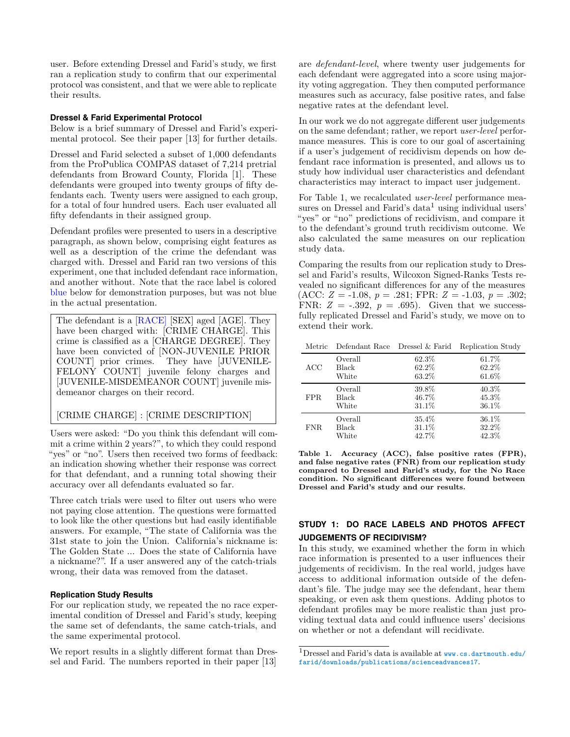user. Before extending Dressel and Farid's study, we first ran a replication study to confirm that our experimental protocol was consistent, and that we were able to replicate their results.

# **Dressel & Farid Experimental Protocol**

Below is a brief summary of Dressel and Farid's experimental protocol. See their paper [\[13\]](#page-10-0) for further details.

Dressel and Farid selected a subset of 1,000 defendants from the ProPublica COMPAS dataset of 7,214 pretrial defendants from Broward County, Florida [\[1\]](#page-10-12). These defendants were grouped into twenty groups of fifty defendants each. Twenty users were assigned to each group, for a total of four hundred users. Each user evaluated all fifty defendants in their assigned group.

Defendant profiles were presented to users in a descriptive paragraph, as shown below, comprising eight features as well as a description of the crime the defendant was charged with. Dressel and Farid ran two versions of this experiment, one that included defendant race information, and another without. Note that the race label is colored blue below for demonstration purposes, but was not blue in the actual presentation.

The defendant is a [RACE] [SEX] aged [AGE]. They have been charged with: [CRIME CHARGE]. This crime is classified as a [CHARGE DEGREE]. They have been convicted of [NON-JUVENILE PRIOR COUNT] prior crimes. They have [JUVENILE-FELONY COUNT] juvenile felony charges and [JUVENILE-MISDEMEANOR COUNT] juvenile misdemeanor charges on their record.

# [CRIME CHARGE] : [CRIME DESCRIPTION]

Users were asked: "Do you think this defendant will commit a crime within 2 years?", to which they could respond "yes" or "no". Users then received two forms of feedback: an indication showing whether their response was correct for that defendant, and a running total showing their accuracy over all defendants evaluated so far.

Three catch trials were used to filter out users who were not paying close attention. The questions were formatted to look like the other questions but had easily identifiable answers. For example, "The state of California was the 31st state to join the Union. California's nickname is: The Golden State ... Does the state of California have a nickname?". If a user answered any of the catch-trials wrong, their data was removed from the dataset.

# **Replication Study Results**

For our replication study, we repeated the no race experimental condition of Dressel and Farid's study, keeping the same set of defendants, the same catch-trials, and the same experimental protocol.

We report results in a slightly different format than Dressel and Farid. The numbers reported in their paper [\[13\]](#page-10-0) are *defendant-level*, where twenty user judgements for each defendant were aggregated into a score using majority voting aggregation. They then computed performance measures such as accuracy, false positive rates, and false negative rates at the defendant level.

In our work we do not aggregate different user judgements on the same defendant; rather, we report *user-level* performance measures. This is core to our goal of ascertaining if a user's judgement of recidivism depends on how defendant race information is presented, and allows us to study how individual user characteristics and defendant characteristics may interact to impact user judgement.

For Table [1,](#page-2-0) we recalculated *user-level* performance mea-sures on Dressel and Farid's data<sup>[1](#page-2-1)</sup> using individual users' "yes" or "no" predictions of recidivism, and compare it to the defendant's ground truth recidivism outcome. We also calculated the same measures on our replication study data.

Comparing the results from our replication study to Dressel and Farid's results, Wilcoxon Signed-Ranks Tests revealed no significant differences for any of the measures  $(ACC: Z = -1.08, p = .281; FPR: Z = -1.03, p = .302;$ FNR:  $Z = -.392$ ,  $p = .695$ ). Given that we successfully replicated Dressel and Farid's study, we move on to extend their work.

<span id="page-2-0"></span>

|  |  |  | Metric Defendant Race Dressel & Farid Replication Study |
|--|--|--|---------------------------------------------------------|
|--|--|--|---------------------------------------------------------|

| ACC        | Overall | 62.3% | 61.7%    |
|------------|---------|-------|----------|
|            | Black   | 62.2% | 62.2%    |
|            | White   | 63.2% | 61.6%    |
| FPR.       | Overall | 39.8% | $40.3\%$ |
|            | Black   | 46.7% | 45.3%    |
|            | White   | 31.1% | 36.1%    |
| <b>FNR</b> | Overall | 35.4% | 36.1%    |
|            | Black   | 31.1% | 32.2%    |
|            | White   | 42.7% | 42.3%    |

**Table 1. Accuracy (ACC), false positive rates (FPR), and false negative rates (FNR) from our replication study compared to Dressel and Farid's study, for the No Race condition. No significant differences were found between Dressel and Farid's study and our results.**

# **STUDY 1: DO RACE LABELS AND PHOTOS AFFECT JUDGEMENTS OF RECIDIVISM?**

In this study, we examined whether the form in which race information is presented to a user influences their judgements of recidivism. In the real world, judges have access to additional information outside of the defendant's file. The judge may see the defendant, hear them speaking, or even ask them questions. Adding photos to defendant profiles may be more realistic than just providing textual data and could influence users' decisions on whether or not a defendant will recidivate.

<span id="page-2-1"></span> $^1\rm{Dressel}$  and Farid's data is available at  ${\tt www.cs.dartmouth.edu/}$  ${\tt www.cs.dartmouth.edu/}$  ${\tt www.cs.dartmouth.edu/}$ **[farid/downloads/publications/scienceadvances17](www.cs.dartmouth.edu/farid/downloads/publications/scienceadvances17)**.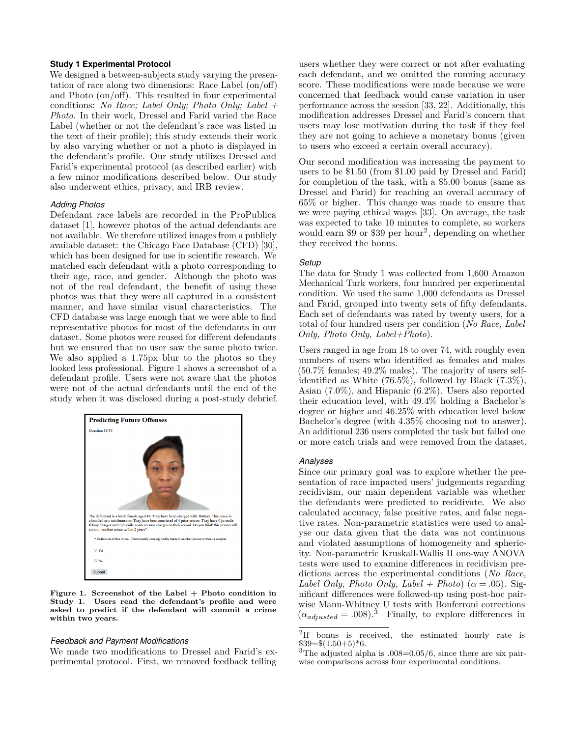#### **Study 1 Experimental Protocol**

We designed a between-subjects study varying the presentation of race along two dimensions: Race Label (on/off) and Photo (on/off). This resulted in four experimental conditions: *No Race; Label Only; Photo Only; Label + Photo*. In their work, Dressel and Farid varied the Race Label (whether or not the defendant's race was listed in the text of their profile); this study extends their work by also varying whether or not a photo is displayed in the defendant's profile. Our study utilizes Dressel and Farid's experimental protocol (as described earlier) with a few minor modifications described below. Our study also underwent ethics, privacy, and IRB review.

#### *Adding Photos*

Defendant race labels are recorded in the ProPublica dataset [\[1\]](#page-10-12), however photos of the actual defendants are not available. We therefore utilized images from a publicly available dataset: the Chicago Face Database (CFD) [\[30\]](#page-11-20), which has been designed for use in scientific research. We matched each defendant with a photo corresponding to their age, race, and gender. Although the photo was not of the real defendant, the benefit of using these photos was that they were all captured in a consistent manner, and have similar visual characteristics. The CFD database was large enough that we were able to find representative photos for most of the defendants in our dataset. Some photos were reused for different defendants but we ensured that no user saw the same photo twice. We also applied a 1.75px blur to the photos so they looked less professional. Figure [1](#page-3-0) shows a screenshot of a defendant profile. Users were not aware that the photos were not of the actual defendants until the end of the study when it was disclosed during a post-study debrief.

<span id="page-3-0"></span>

**Figure 1. Screenshot of the Label + Photo condition in Study 1. Users read the defendant's profile and were asked to predict if the defendant will commit a crime within two years.**

#### *Feedback and Payment Modifications*

We made two modifications to Dressel and Farid's experimental protocol. First, we removed feedback telling

users whether they were correct or not after evaluating each defendant, and we omitted the running accuracy score. These modifications were made because we were concerned that feedback would cause variation in user performance across the session [\[33,](#page-11-21) [22\]](#page-11-22). Additionally, this modification addresses Dressel and Farid's concern that users may lose motivation during the task if they feel they are not going to achieve a monetary bonus (given to users who exceed a certain overall accuracy).

Our second modification was increasing the payment to users to be \$1.50 (from \$1.00 paid by Dressel and Farid) for completion of the task, with a \$5.00 bonus (same as Dressel and Farid) for reaching an overall accuracy of 65% or higher. This change was made to ensure that we were paying ethical wages [\[33\]](#page-11-21). On average, the task was expected to take 10 minutes to complete, so workers would earn \$9 or \$39 per hour<sup>[2](#page-3-1)</sup>, depending on whether they received the bonus.

#### *Setup*

The data for Study 1 was collected from 1,600 Amazon Mechanical Turk workers, four hundred per experimental condition. We used the same 1,000 defendants as Dressel and Farid, grouped into twenty sets of fifty defendants. Each set of defendants was rated by twenty users, for a total of four hundred users per condition (*No Race, Label Only, Photo Only, Label+Photo*).

Users ranged in age from 18 to over 74, with roughly even numbers of users who identified as females and males (50.7% females; 49.2% males). The majority of users selfidentified as White (76.5%), followed by Black (7.3%), Asian (7.0%), and Hispanic (6.2%). Users also reported their education level, with 49.4% holding a Bachelor's degree or higher and 46.25% with education level below Bachelor's degree (with 4.35% choosing not to answer). An additional 236 users completed the task but failed one or more catch trials and were removed from the dataset.

#### *Analyses*

Since our primary goal was to explore whether the presentation of race impacted users' judgements regarding recidivism, our main dependent variable was whether the defendants were predicted to recidivate. We also calculated accuracy, false positive rates, and false negative rates. Non-parametric statistics were used to analyse our data given that the data was not continuous and violated assumptions of homogeneity and sphericity. Non-parametric Kruskall-Wallis H one-way ANOVA tests were used to examine differences in recidivism predictions across the experimental conditions (*No Race, Label Only, Photo Only, Label + Photo*) ( $\alpha$  = *.*05). Significant differences were followed-up using post-hoc pairwise Mann-Whitney U tests with Bonferroni corrections  $(\alpha_{adjusted} = .008).$ <sup>[3](#page-3-2)</sup> Finally, to explore differences in

<span id="page-3-1"></span><sup>&</sup>lt;sup>2</sup>If bonus is received, the estimated hourly rate is  $$39 = $(1.50 + 5)*6.$ 

<span id="page-3-2"></span> $3$ The adjusted alpha is  $.008=0.05/6$ , since there are six pairwise comparisons across four experimental conditions.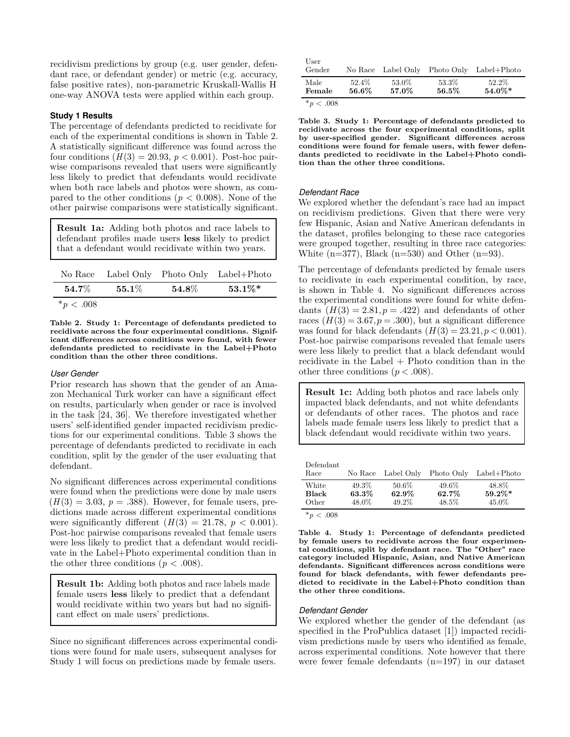recidivism predictions by group (e.g. user gender, defendant race, or defendant gender) or metric (e.g. accuracy, false positive rates), non-parametric Kruskall-Wallis H one-way ANOVA tests were applied within each group.

# **Study 1 Results**

The percentage of defendants predicted to recidivate for each of the experimental conditions is shown in Table [2.](#page-4-0) A statistically significant difference was found across the four conditions  $(H(3) = 20.93, p < 0.001)$ . Post-hoc pairwise comparisons revealed that users were significantly less likely to predict that defendants would recidivate when both race labels and photos were shown, as compared to the other conditions ( $p < 0.008$ ). None of the other pairwise comparisons were statistically significant.

**Result 1a:** Adding both photos and race labels to defendant profiles made users **less** likely to predict that a defendant would recidivate within two years.

<span id="page-4-0"></span>

|                       |                       |                       | No Race Label Only Photo Only Label+Photo |
|-----------------------|-----------------------|-----------------------|-------------------------------------------|
| $\boldsymbol{54.7\%}$ | $\boldsymbol{55.1\%}$ | $\boldsymbol{54.8\%}$ | $53.1\%*$                                 |
| $*_{p}$ < .008        |                       |                       |                                           |

**Table 2. Study 1: Percentage of defendants predicted to recidivate across the four experimental conditions. Significant differences across conditions were found, with fewer defendants predicted to recidivate in the Label+Photo condition than the other three conditions.**

#### *User Gender*

Prior research has shown that the gender of an Amazon Mechanical Turk worker can have a significant effect on results, particularly when gender or race is involved in the task [\[24,](#page-11-12) [36\]](#page-11-13). We therefore investigated whether users' self-identified gender impacted recidivism predictions for our experimental conditions. Table [3](#page-4-1) shows the percentage of defendants predicted to recidivate in each condition, split by the gender of the user evaluating that defendant.

No significant differences across experimental conditions were found when the predictions were done by male users  $(H(3) = 3.03, p = .388)$ . However, for female users, predictions made across different experimental conditions were significantly different  $(H(3) = 21.78, p < 0.001)$ . Post-hoc pairwise comparisons revealed that female users were less likely to predict that a defendant would recidivate in the Label+Photo experimental condition than in the other three conditions ( $p < .008$ ).

**Result 1b:** Adding both photos and race labels made female users **less** likely to predict that a defendant would recidivate within two years but had no significant effect on male users' predictions.

Since no significant differences across experimental conditions were found for male users, subsequent analyses for Study 1 will focus on predictions made by female users.

<span id="page-4-1"></span>

| $\sim$ 0.00    |                |                    |                |                        |
|----------------|----------------|--------------------|----------------|------------------------|
| Male<br>Female | 52.4%<br>56.6% | 53.0%<br>57.0%     | 53.3%<br>56.5% | 52.2%<br>$54.0\%*$     |
| User<br>Gender |                | No Race Label Only |                | Photo Only Label+Photo |

 $*_{p}$  < .008

**Table 3. Study 1: Percentage of defendants predicted to recidivate across the four experimental conditions, split by user-specified gender. Significant differences across conditions were found for female users, with fewer defendants predicted to recidivate in the Label+Photo condition than the other three conditions.**

# *Defendant Race*

We explored whether the defendant's race had an impact on recidivism predictions. Given that there were very few Hispanic, Asian and Native American defendants in the dataset, profiles belonging to these race categories were grouped together, resulting in three race categories: White  $(n=377)$ , Black  $(n=530)$  and Other  $(n=93)$ .

The percentage of defendants predicted by female users to recidivate in each experimental condition, by race, is shown in Table [4.](#page-4-2) No significant differences across the experimental conditions were found for white defendants  $(H(3) = 2.81, p = .422)$  and defendants of other races  $(H(3) = 3.67, p = .300)$ , but a significant difference was found for black defendants  $(H(3) = 23.21, p < 0.001)$ . Post-hoc pairwise comparisons revealed that female users were less likely to predict that a black defendant would recidivate in the Label + Photo condition than in the other three conditions  $(p < .008)$ .

**Result 1c:** Adding both photos and race labels only impacted black defendants, and not white defendants or defendants of other races. The photos and race labels made female users less likely to predict that a black defendant would recidivate within two years.

<span id="page-4-2"></span>

| Defendant<br>Race                                   | No Race | Label Only | Photo Only | Label+Photo |
|-----------------------------------------------------|---------|------------|------------|-------------|
| White                                               | 49.3%   | 50.6%      | 49.6%      | 48.8%       |
| <b>Black</b>                                        | 63.3%   | 62.9%      | 62.7%      | $59.2\%*$   |
| Other                                               | 48.0%   | 49.2%      | 48.5%      | 45.0%       |
| the state of the contract of the contract of<br>--- |         |            |            |             |

\**p* < .008

**Table 4. Study 1: Percentage of defendants predicted by female users to recidivate across the four experimental conditions, split by defendant race. The "Other" race category included Hispanic, Asian, and Native American defendants. Significant differences across conditions were found for black defendants, with fewer defendants predicted to recidivate in the Label+Photo condition than the other three conditions.**

#### *Defendant Gender*

We explored whether the gender of the defendant (as specified in the ProPublica dataset [\[1\]](#page-10-12)) impacted recidivism predictions made by users who identified as female, across experimental conditions. Note however that there were fewer female defendants (n=197) in our dataset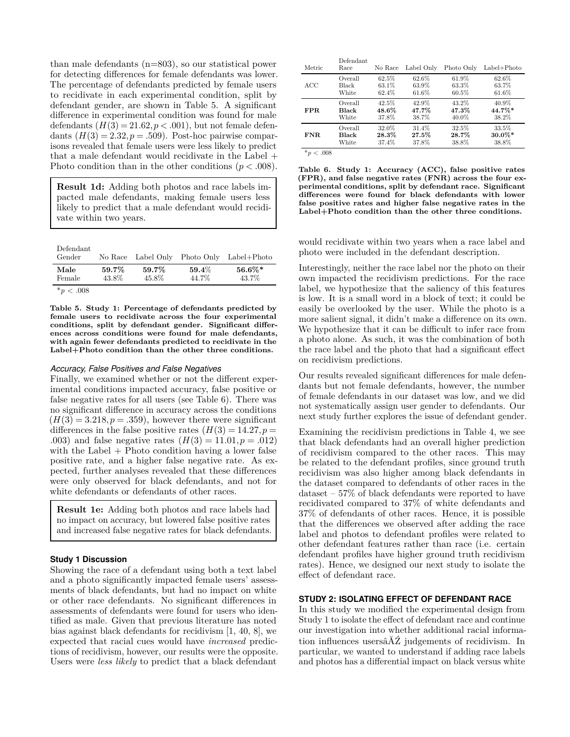than male defendants (n=803), so our statistical power for detecting differences for female defendants was lower. The percentage of defendants predicted by female users to recidivate in each experimental condition, split by defendant gender, are shown in Table [5.](#page-5-0) A significant difference in experimental condition was found for male defendants  $(H(3) = 21.62, p < .001)$ , but not female defendants  $(H(3) = 2.32, p = .509)$ . Post-hoc pairwise comparisons revealed that female users were less likely to predict that a male defendant would recidivate in the Label + Photo condition than in the other conditions (*p < .*008).

**Result 1d:** Adding both photos and race labels impacted male defendants, making female users less likely to predict that a male defendant would recidivate within two years.

<span id="page-5-0"></span>

| Defendant<br>Gender |                | No Race Label Only | Photo Only        | Label+Photo        |
|---------------------|----------------|--------------------|-------------------|--------------------|
| Male<br>Female      | 59.7%<br>43.8% | 59.7%<br>45.8%     | $59.4\%$<br>44.7% | $56.6\%*$<br>43.7% |
| $*_{p}$ < .008      |                |                    |                   |                    |

**Table 5. Study 1: Percentage of defendants predicted by female users to recidivate across the four experimental conditions, split by defendant gender. Significant differences across conditions were found for male defendants, with again fewer defendants predicted to recidivate in the Label+Photo condition than the other three conditions.**

#### *Accuracy, False Positives and False Negatives*

Finally, we examined whether or not the different experimental conditions impacted accuracy, false positive or false negative rates for all users (see Table [6\)](#page-5-1). There was no significant difference in accuracy across the conditions  $(H(3) = 3.218, p = .359)$ , however there were significant differences in the false positive rates  $(H(3) = 14.27, p =$ *.*003) and false negative rates (*H*(3) = 11*.*01*, p* = *.*012) with the Label  $+$  Photo condition having a lower false positive rate, and a higher false negative rate. As expected, further analyses revealed that these differences were only observed for black defendants, and not for white defendants or defendants of other races.

**Result 1e:** Adding both photos and race labels had no impact on accuracy, but lowered false positive rates and increased false negative rates for black defendants.

#### **Study 1 Discussion**

Showing the race of a defendant using both a text label and a photo significantly impacted female users' assessments of black defendants, but had no impact on white or other race defendants. No significant differences in assessments of defendants were found for users who identified as male. Given that previous literature has noted bias against black defendants for recidivism [\[1,](#page-10-12) [40,](#page-11-0) [8\]](#page-10-15), we expected that racial cues would have *increased* predictions of recidivism, however, our results were the opposite. Users were *less likely* to predict that a black defendant

<span id="page-5-1"></span>

| Metric | Defendant<br>Race | No Race | Label Only | Photo Only | $Label + Photo$ |
|--------|-------------------|---------|------------|------------|-----------------|
| ACC    | Overall           | 62.5%   | 62.6%      | 61.9%      | 62.6%           |
|        | Black             | 63.1%   | 63.9%      | 63.3%      | 63.7%           |
|        | White             | 62.4%   | 61.6%      | 60.5%      | 61.6%           |
| FPR.   | Overall           | 42.5%   | 42.9%      | 43.2%      | 40.9%           |
|        | <b>Black</b>      | 48.6%   | 47.7%      | 47.3%      | 44.7%*          |
|        | White             | 37.8%   | 38.7%      | 40.0%      | 38.2%           |
| FNR.   | Overall           | 32.0%   | 31.4%      | 32.5%      | 33.5%           |
|        | <b>Black</b>      | 28.3%   | 27.5%      | 28.7%      | $30.0\%*$       |
|        | White             | 37.4%   | 37.8%      | 38.8%      | 38.8%           |

\**<sup>p</sup>* < .008

**Table 6. Study 1: Accuracy (ACC), false positive rates (FPR), and false negative rates (FNR) across the four experimental conditions, split by defendant race. Significant differences were found for black defendants with lower false positive rates and higher false negative rates in the Label+Photo condition than the other three conditions.**

would recidivate within two years when a race label and photo were included in the defendant description.

Interestingly, neither the race label nor the photo on their own impacted the recidivism predictions. For the race label, we hypothesize that the saliency of this features is low. It is a small word in a block of text; it could be easily be overlooked by the user. While the photo is a more salient signal, it didn't make a difference on its own. We hypothesize that it can be difficult to infer race from a photo alone. As such, it was the combination of both the race label and the photo that had a significant effect on recidivism predictions.

Our results revealed significant differences for male defendants but not female defendants, however, the number of female defendants in our dataset was low, and we did not systematically assign user gender to defendants. Our next study further explores the issue of defendant gender.

Examining the recidivism predictions in Table [4,](#page-4-2) we see that black defendants had an overall higher prediction of recidivism compared to the other races. This may be related to the defendant profiles, since ground truth recidivism was also higher among black defendants in the dataset compared to defendants of other races in the dataset – 57% of black defendants were reported to have recidivated compared to 37% of white defendants and 37% of defendants of other races. Hence, it is possible that the differences we observed after adding the race label and photos to defendant profiles were related to other defendant features rather than race (i.e. certain defendant profiles have higher ground truth recidivism rates). Hence, we designed our next study to isolate the effect of defendant race.

#### **STUDY 2: ISOLATING EFFECT OF DEFENDANT RACE**

In this study we modified the experimental design from Study 1 to isolate the effect of defendant race and continue our investigation into whether additional racial information influences usersâĂŹ judgements of recidivism. In particular, we wanted to understand if adding race labels and photos has a differential impact on black versus white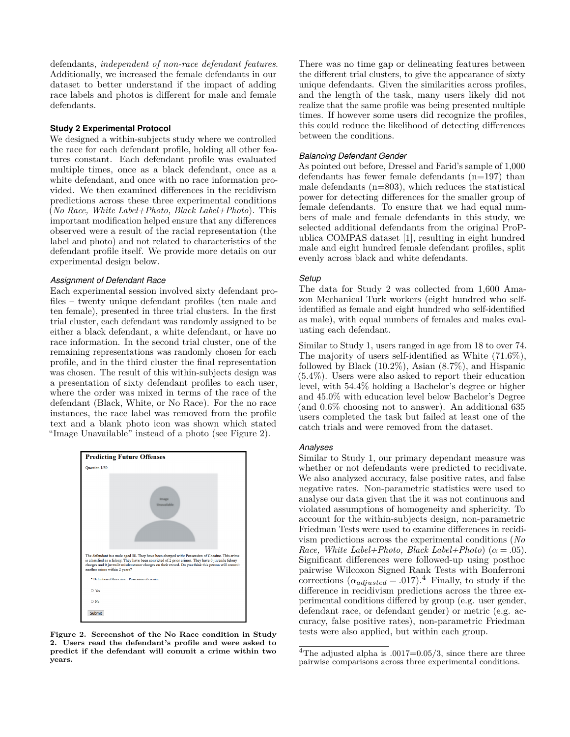defendants, *independent of non-race defendant features*. Additionally, we increased the female defendants in our dataset to better understand if the impact of adding race labels and photos is different for male and female defendants.

### **Study 2 Experimental Protocol**

We designed a within-subjects study where we controlled the race for each defendant profile, holding all other features constant. Each defendant profile was evaluated multiple times, once as a black defendant, once as a white defendant, and once with no race information provided. We then examined differences in the recidivism predictions across these three experimental conditions (*No Race, White Label+Photo, Black Label+Photo*). This important modification helped ensure that any differences observed were a result of the racial representation (the label and photo) and not related to characteristics of the defendant profile itself. We provide more details on our experimental design below.

#### *Assignment of Defendant Race*

Each experimental session involved sixty defendant profiles – twenty unique defendant profiles (ten male and ten female), presented in three trial clusters. In the first trial cluster, each defendant was randomly assigned to be either a black defendant, a white defendant, or have no race information. In the second trial cluster, one of the remaining representations was randomly chosen for each profile, and in the third cluster the final representation was chosen. The result of this within-subjects design was a presentation of sixty defendant profiles to each user, where the order was mixed in terms of the race of the defendant (Black, White, or No Race). For the no race instances, the race label was removed from the profile text and a blank photo icon was shown which stated "Image Unavailable" instead of a photo (see Figure [2\)](#page-6-0).

<span id="page-6-0"></span>

**Figure 2. Screenshot of the No Race condition in Study 2. Users read the defendant's profile and were asked to predict if the defendant will commit a crime within two years.**

There was no time gap or delineating features between the different trial clusters, to give the appearance of sixty unique defendants. Given the similarities across profiles, and the length of the task, many users likely did not realize that the same profile was being presented multiple times. If however some users did recognize the profiles, this could reduce the likelihood of detecting differences between the conditions.

#### *Balancing Defendant Gender*

As pointed out before, Dressel and Farid's sample of 1,000 defendants has fewer female defendants (n=197) than male defendants  $(n=803)$ , which reduces the statistical power for detecting differences for the smaller group of female defendants. To ensure that we had equal numbers of male and female defendants in this study, we selected additional defendants from the original ProPublica COMPAS dataset [\[1\]](#page-10-12), resulting in eight hundred male and eight hundred female defendant profiles, split evenly across black and white defendants.

#### *Setup*

The data for Study 2 was collected from 1,600 Amazon Mechanical Turk workers (eight hundred who selfidentified as female and eight hundred who self-identified as male), with equal numbers of females and males evaluating each defendant.

Similar to Study 1, users ranged in age from 18 to over 74. The majority of users self-identified as White (71.6%), followed by Black (10.2%), Asian (8.7%), and Hispanic (5.4%). Users were also asked to report their education level, with 54.4% holding a Bachelor's degree or higher and 45.0% with education level below Bachelor's Degree (and 0.6% choosing not to answer). An additional 635 users completed the task but failed at least one of the catch trials and were removed from the dataset.

#### *Analyses*

Similar to Study 1, our primary dependant measure was whether or not defendants were predicted to recidivate. We also analyzed accuracy, false positive rates, and false negative rates. Non-parametric statistics were used to analyse our data given that the it was not continuous and violated assumptions of homogeneity and sphericity. To account for the within-subjects design, non-parametric Friedman Tests were used to examine differences in recidivism predictions across the experimental conditions (*No Race, White Label+Photo, Black Label+Photo*) ( $\alpha = .05$ ). Significant differences were followed-up using posthoc pairwise Wilcoxon Signed Rank Tests with Bonferroni corrections  $(\alpha_{adjusted} = .017).$ <sup>[4](#page-6-1)</sup> Finally, to study if the difference in recidivism predictions across the three experimental conditions differed by group (e.g. user gender, defendant race, or defendant gender) or metric (e.g. accuracy, false positive rates), non-parametric Friedman tests were also applied, but within each group.

<span id="page-6-1"></span><sup>&</sup>lt;sup>4</sup>The adjusted alpha is  $.0017=0.05/3$ , since there are three pairwise comparisons across three experimental conditions.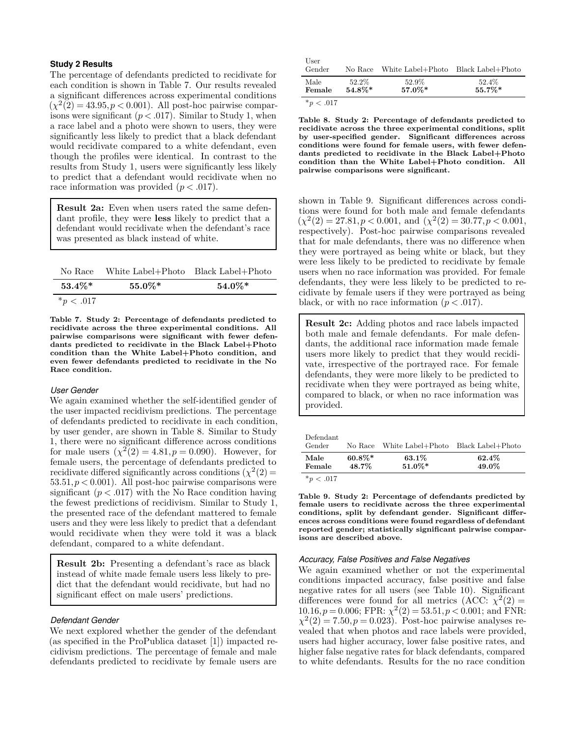#### **Study 2 Results**

The percentage of defendants predicted to recidivate for each condition is shown in Table [7.](#page-7-0) Our results revealed a significant differences across experimental conditions  $(\chi^2(2) = 43.95, p < 0.001)$ . All post-hoc pairwise comparisons were significant  $(p < .017)$ . Similar to Study 1, when a race label and a photo were shown to users, they were significantly less likely to predict that a black defendant would recidivate compared to a white defendant, even though the profiles were identical. In contrast to the results from Study 1, users were significantly less likely to predict that a defendant would recidivate when no race information was provided (*p < .*017).

**Result 2a:** Even when users rated the same defendant profile, they were **less** likely to predict that a defendant would recidivate when the defendant's race was presented as black instead of white.

<span id="page-7-0"></span>

| No Race        | White Label+Photo Black Label+Photo |           |
|----------------|-------------------------------------|-----------|
| $53.4\%*$      | $55.0\%*$                           | $54.0\%*$ |
| $*_{p} < .017$ |                                     |           |

**Table 7. Study 2: Percentage of defendants predicted to recidivate across the three experimental conditions. All pairwise comparisons were significant with fewer defendants predicted to recidivate in the Black Label+Photo condition than the White Label+Photo condition, and even fewer defendants predicted to recidivate in the No Race condition.**

#### *User Gender*

We again examined whether the self-identified gender of the user impacted recidivism predictions. The percentage of defendants predicted to recidivate in each condition, by user gender, are shown in Table [8.](#page-7-1) Similar to Study 1, there were no significant difference across conditions for male users  $(\chi^2(2) = 4.81, p = 0.090)$ . However, for female users, the percentage of defendants predicted to recidivate differed significantly across conditions  $(\chi^2(2))$ 53*.*51*, p <* 0*.*001). All post-hoc pairwise comparisons were significant  $(p < .017)$  with the No Race condition having the fewest predictions of recidivism. Similar to Study 1, the presented race of the defendant mattered to female users and they were less likely to predict that a defendant would recidivate when they were told it was a black defendant, compared to a white defendant.

**Result 2b:** Presenting a defendant's race as black instead of white made female users less likely to predict that the defendant would recidivate, but had no significant effect on male users' predictions.

#### *Defendant Gender*

We next explored whether the gender of the defendant (as specified in the ProPublica dataset [\[1\]](#page-10-12)) impacted recidivism predictions. The percentage of female and male defendants predicted to recidivate by female users are

<span id="page-7-1"></span>

| User<br>Gender | No Race   | White Label+Photo | Black Label+Photo |
|----------------|-----------|-------------------|-------------------|
| Male           | 52.2%     | 52.9%             | 52.4%             |
| Female         | $54.8\%*$ | $57.0\%*$         | $55.7\%*$         |

 $*_{p}$  < .017

**Table 8. Study 2: Percentage of defendants predicted to recidivate across the three experimental conditions, split by user-specified gender. Significant differences across conditions were found for female users, with fewer defendants predicted to recidivate in the Black Label+Photo condition than the White Label+Photo condition. All pairwise comparisons were significant.**

shown in Table [9.](#page-7-2) Significant differences across conditions were found for both male and female defendants  $(\chi^2(2) = 27.81, p < 0.001, \text{ and } (\chi^2(2) = 30.77, p < 0.001,$ respectively). Post-hoc pairwise comparisons revealed that for male defendants, there was no difference when they were portrayed as being white or black, but they were less likely to be predicted to recidivate by female users when no race information was provided. For female defendants, they were less likely to be predicted to recidivate by female users if they were portrayed as being black, or with no race information  $(p < .017)$ .

**Result 2c:** Adding photos and race labels impacted both male and female defendants. For male defendants, the additional race information made female users more likely to predict that they would recidivate, irrespective of the portrayed race. For female defendants, they were more likely to be predicted to recidivate when they were portrayed as being white, compared to black, or when no race information was provided.

<span id="page-7-2"></span>

| Defendant<br>Gender     | No Race            | White Label+Photo Black Label+Photo |                |
|-------------------------|--------------------|-------------------------------------|----------------|
| Male<br>Female          | $60.8\%*$<br>48.7% | 63.1%<br>$51.0\%*$                  | 62.4%<br>49.0% |
| $\star$ $\sim$ 01 $\pm$ |                    |                                     |                |

 $^{*}p < .017$ 

**Table 9. Study 2: Percentage of defendants predicted by female users to recidivate across the three experimental conditions, split by defendant gender. Significant differences across conditions were found regardless of defendant reported gender; statistically significant pairwise comparisons are described above.**

#### *Accuracy, False Positives and False Negatives*

We again examined whether or not the experimental conditions impacted accuracy, false positive and false negative rates for all users (see Table [10\)](#page-8-0). Significant differences were found for all metrics  $(ACC: \chi^2(2) =$  $10.16, p = 0.006$ ; FPR:  $\chi^2(2) = 53.51, p < 0.001$ ; and FNR:  $\chi^2(2) = 7.50, p = 0.023$ . Post-hoc pairwise analyses revealed that when photos and race labels were provided, users had higher accuracy, lower false positive rates, and higher false negative rates for black defendants, compared to white defendants. Results for the no race condition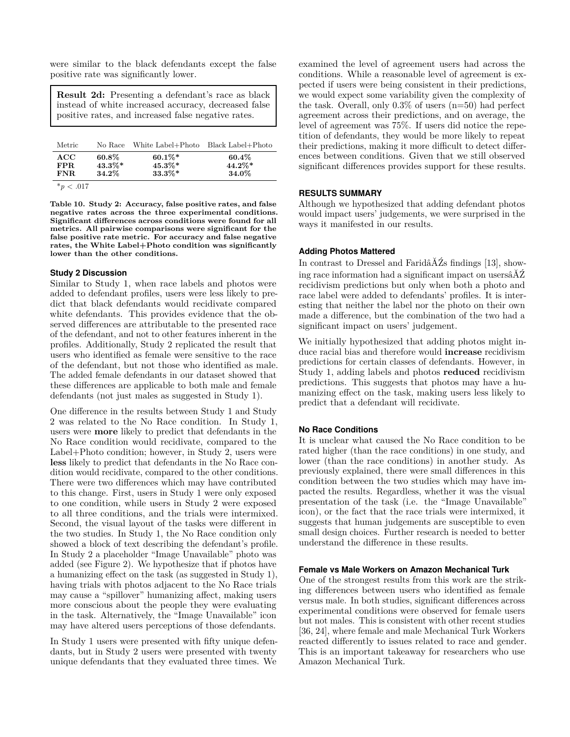were similar to the black defendants except the false positive rate was significantly lower.

**Result 2d:** Presenting a defendant's race as black instead of white increased accuracy, decreased false positive rates, and increased false negative rates.

<span id="page-8-0"></span>

| Metric                    | No Race                           | White Label+Photo Black Label+Photo |                             |
|---------------------------|-----------------------------------|-------------------------------------|-----------------------------|
| ACC<br>FPR.<br>FNR.       | $60.8\%$<br>$43.3\%*$<br>$34.2\%$ | $60.1\%*$<br>$45.3\%*$<br>$33.3\%*$ | 60.4%<br>$44.2\%*$<br>34.0% |
| $\sim$ 0.1 $\blacksquare$ |                                   |                                     |                             |

 $*_{p}$  < .017

**Table 10. Study 2: Accuracy, false positive rates, and false negative rates across the three experimental conditions. Significant differences across conditions were found for all metrics. All pairwise comparisons were significant for the false positive rate metric. For accuracy and false negative rates, the White Label+Photo condition was significantly lower than the other conditions.**

# **Study 2 Discussion**

Similar to Study 1, when race labels and photos were added to defendant profiles, users were less likely to predict that black defendants would recidivate compared white defendants. This provides evidence that the observed differences are attributable to the presented race of the defendant, and not to other features inherent in the profiles. Additionally, Study 2 replicated the result that users who identified as female were sensitive to the race of the defendant, but not those who identified as male. The added female defendants in our dataset showed that these differences are applicable to both male and female defendants (not just males as suggested in Study 1).

One difference in the results between Study 1 and Study 2 was related to the No Race condition. In Study 1, users were **more** likely to predict that defendants in the No Race condition would recidivate, compared to the Label+Photo condition; however, in Study 2, users were **less** likely to predict that defendants in the No Race condition would recidivate, compared to the other conditions. There were two differences which may have contributed to this change. First, users in Study 1 were only exposed to one condition, while users in Study 2 were exposed to all three conditions, and the trials were intermixed. Second, the visual layout of the tasks were different in the two studies. In Study 1, the No Race condition only showed a block of text describing the defendant's profile. In Study 2 a placeholder "Image Unavailable" photo was added (see Figure 2). We hypothesize that if photos have a humanizing effect on the task (as suggested in Study 1), having trials with photos adjacent to the No Race trials may cause a "spillover" humanizing affect, making users more conscious about the people they were evaluating in the task. Alternatively, the "Image Unavailable" icon may have altered users perceptions of those defendants.

In Study 1 users were presented with fifty unique defendants, but in Study 2 users were presented with twenty unique defendants that they evaluated three times. We

examined the level of agreement users had across the conditions. While a reasonable level of agreement is expected if users were being consistent in their predictions, we would expect some variability given the complexity of the task. Overall, only  $0.3\%$  of users  $(n=50)$  had perfect agreement across their predictions, and on average, the level of agreement was 75%. If users did notice the repetition of defendants, they would be more likely to repeat their predictions, making it more difficult to detect differences between conditions. Given that we still observed significant differences provides support for these results.

# **RESULTS SUMMARY**

Although we hypothesized that adding defendant photos would impact users' judgements, we were surprised in the ways it manifested in our results.

# **Adding Photos Mattered**

In contrast to Dressel and FaridâĂŹs findings [\[13\]](#page-10-0), showing race information had a significant impact on usersâĂŹ recidivism predictions but only when both a photo and race label were added to defendants' profiles. It is interesting that neither the label nor the photo on their own made a difference, but the combination of the two had a significant impact on users' judgement.

We initially hypothesized that adding photos might induce racial bias and therefore would **increase** recidivism predictions for certain classes of defendants. However, in Study 1, adding labels and photos **reduced** recidivism predictions. This suggests that photos may have a humanizing effect on the task, making users less likely to predict that a defendant will recidivate.

# **No Race Conditions**

It is unclear what caused the No Race condition to be rated higher (than the race conditions) in one study, and lower (than the race conditions) in another study. As previously explained, there were small differences in this condition between the two studies which may have impacted the results. Regardless, whether it was the visual presentation of the task (i.e. the "Image Unavailable" icon), or the fact that the race trials were intermixed, it suggests that human judgements are susceptible to even small design choices. Further research is needed to better understand the difference in these results.

# **Female vs Male Workers on Amazon Mechanical Turk**

One of the strongest results from this work are the striking differences between users who identified as female versus male. In both studies, significant differences across experimental conditions were observed for female users but not males. This is consistent with other recent studies [\[36,](#page-11-13) [24\]](#page-11-12), where female and male Mechanical Turk Workers reacted differently to issues related to race and gender. This is an important takeaway for researchers who use Amazon Mechanical Turk.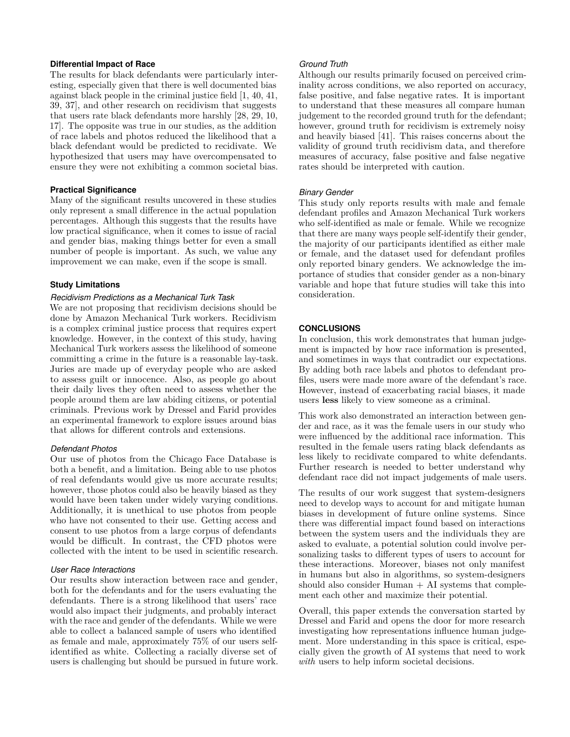# **Differential Impact of Race**

The results for black defendants were particularly interesting, especially given that there is well documented bias against black people in the criminal justice field [\[1,](#page-10-12) [40,](#page-11-0) [41,](#page-11-3) [39,](#page-11-2) [37\]](#page-11-4), and other research on recidivism that suggests that users rate black defendants more harshly [\[28,](#page-11-18) [29,](#page-11-1) [10,](#page-10-20) [17\]](#page-10-7). The opposite was true in our studies, as the addition of race labels and photos reduced the likelihood that a black defendant would be predicted to recidivate. We hypothesized that users may have overcompensated to ensure they were not exhibiting a common societal bias.

# **Practical Significance**

Many of the significant results uncovered in these studies only represent a small difference in the actual population percentages. Although this suggests that the results have low practical significance, when it comes to issue of racial and gender bias, making things better for even a small number of people is important. As such, we value any improvement we can make, even if the scope is small.

# **Study Limitations**

# *Recidivism Predictions as a Mechanical Turk Task*

We are not proposing that recidivism decisions should be done by Amazon Mechanical Turk workers. Recidivism is a complex criminal justice process that requires expert knowledge. However, in the context of this study, having Mechanical Turk workers assess the likelihood of someone committing a crime in the future is a reasonable lay-task. Juries are made up of everyday people who are asked to assess guilt or innocence. Also, as people go about their daily lives they often need to assess whether the people around them are law abiding citizens, or potential criminals. Previous work by Dressel and Farid provides an experimental framework to explore issues around bias that allows for different controls and extensions.

#### *Defendant Photos*

Our use of photos from the Chicago Face Database is both a benefit, and a limitation. Being able to use photos of real defendants would give us more accurate results; however, those photos could also be heavily biased as they would have been taken under widely varying conditions. Additionally, it is unethical to use photos from people who have not consented to their use. Getting access and consent to use photos from a large corpus of defendants would be difficult. In contrast, the CFD photos were collected with the intent to be used in scientific research.

#### *User Race Interactions*

Our results show interaction between race and gender, both for the defendants and for the users evaluating the defendants. There is a strong likelihood that users' race would also impact their judgments, and probably interact with the race and gender of the defendants. While we were able to collect a balanced sample of users who identified as female and male, approximately 75% of our users selfidentified as white. Collecting a racially diverse set of users is challenging but should be pursued in future work.

# *Ground Truth*

Although our results primarily focused on perceived criminality across conditions, we also reported on accuracy, false positive, and false negative rates. It is important to understand that these measures all compare human judgement to the recorded ground truth for the defendant; however, ground truth for recidivism is extremely noisy and heavily biased [\[41\]](#page-11-3). This raises concerns about the validity of ground truth recidivism data, and therefore measures of accuracy, false positive and false negative rates should be interpreted with caution.

# *Binary Gender*

This study only reports results with male and female defendant profiles and Amazon Mechanical Turk workers who self-identified as male or female. While we recognize that there are many ways people self-identify their gender, the majority of our participants identified as either male or female, and the dataset used for defendant profiles only reported binary genders. We acknowledge the importance of studies that consider gender as a non-binary variable and hope that future studies will take this into consideration.

# **CONCLUSIONS**

In conclusion, this work demonstrates that human judgement is impacted by how race information is presented, and sometimes in ways that contradict our expectations. By adding both race labels and photos to defendant profiles, users were made more aware of the defendant's race. However, instead of exacerbating racial biases, it made users **less** likely to view someone as a criminal.

This work also demonstrated an interaction between gender and race, as it was the female users in our study who were influenced by the additional race information. This resulted in the female users rating black defendants as less likely to recidivate compared to white defendants. Further research is needed to better understand why defendant race did not impact judgements of male users.

The results of our work suggest that system-designers need to develop ways to account for and mitigate human biases in development of future online systems. Since there was differential impact found based on interactions between the system users and the individuals they are asked to evaluate, a potential solution could involve personalizing tasks to different types of users to account for these interactions. Moreover, biases not only manifest in humans but also in algorithms, so system-designers should also consider  $Human + AI$  systems that complement each other and maximize their potential.

Overall, this paper extends the conversation started by Dressel and Farid and opens the door for more research investigating how representations influence human judgement. More understanding in this space is critical, especially given the growth of AI systems that need to work *with* users to help inform societal decisions.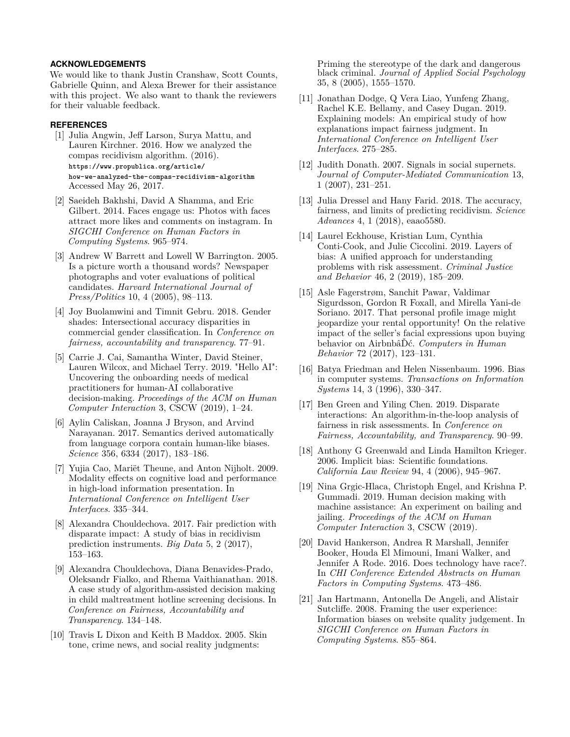# **ACKNOWLEDGEMENTS**

We would like to thank Justin Cranshaw, Scott Counts, Gabrielle Quinn, and Alexa Brewer for their assistance with this project. We also want to thank the reviewers for their valuable feedback.

#### <span id="page-10-12"></span>**REFERENCES**

- [1] Julia Angwin, Jeff Larson, Surya Mattu, and Lauren Kirchner. 2016. How we analyzed the compas recidivism algorithm. (2016). **[https://www.propublica.org/article/](https://www.propublica.org/article/how-we-analyzed-the-compas-recidivism-algorithm) [how-we-analyzed-the-compas-recidivism-algorithm](https://www.propublica.org/article/how-we-analyzed-the-compas-recidivism-algorithm)** Accessed May 26, 2017.
- <span id="page-10-3"></span>[2] Saeideh Bakhshi, David A Shamma, and Eric Gilbert. 2014. Faces engage us: Photos with faces attract more likes and comments on instagram. In *SIGCHI Conference on Human Factors in Computing Systems*. 965–974.
- <span id="page-10-19"></span>[3] Andrew W Barrett and Lowell W Barrington. 2005. Is a picture worth a thousand words? Newspaper photographs and voter evaluations of political candidates. *Harvard International Journal of Press/Politics* 10, 4 (2005), 98–113.
- <span id="page-10-13"></span>[4] Joy Buolamwini and Timnit Gebru. 2018. Gender shades: Intersectional accuracy disparities in commercial gender classification. In *Conference on fairness, accountability and transparency*. 77–91.
- <span id="page-10-5"></span>[5] Carrie J. Cai, Samantha Winter, David Steiner, Lauren Wilcox, and Michael Terry. 2019. "Hello AI": Uncovering the onboarding needs of medical practitioners for human-AI collaborative decision-making. *Proceedings of the ACM on Human Computer Interaction* 3, CSCW (2019), 1–24.
- <span id="page-10-11"></span>[6] Aylin Caliskan, Joanna J Bryson, and Arvind Narayanan. 2017. Semantics derived automatically from language corpora contain human-like biases. *Science* 356, 6334 (2017), 183–186.
- <span id="page-10-17"></span>[7] Yujia Cao, Mariët Theune, and Anton Nijholt. 2009. Modality effects on cognitive load and performance in high-load information presentation. In *International Conference on Intelligent User Interfaces*. 335–344.
- <span id="page-10-15"></span>[8] Alexandra Chouldechova. 2017. Fair prediction with disparate impact: A study of bias in recidivism prediction instruments. *Big Data* 5, 2 (2017), 153–163.
- <span id="page-10-8"></span>[9] Alexandra Chouldechova, Diana Benavides-Prado, Oleksandr Fialko, and Rhema Vaithianathan. 2018. A case study of algorithm-assisted decision making in child maltreatment hotline screening decisions. In *Conference on Fairness, Accountability and Transparency*. 134–148.
- <span id="page-10-20"></span>[10] Travis L Dixon and Keith B Maddox. 2005. Skin tone, crime news, and social reality judgments:

Priming the stereotype of the dark and dangerous black criminal. *Journal of Applied Social Psychology* 35, 8 (2005), 1555–1570.

- <span id="page-10-14"></span>[11] Jonathan Dodge, Q Vera Liao, Yunfeng Zhang, Rachel K.E. Bellamy, and Casey Dugan. 2019. Explaining models: An empirical study of how explanations impact fairness judgment. In *International Conference on Intelligent User Interfaces*. 275–285.
- <span id="page-10-1"></span>[12] Judith Donath. 2007. Signals in social supernets. *Journal of Computer-Mediated Communication* 13, 1 (2007), 231–251.
- <span id="page-10-0"></span>[13] Julia Dressel and Hany Farid. 2018. The accuracy, fairness, and limits of predicting recidivism. *Science Advances* 4, 1 (2018), eaao5580.
- <span id="page-10-6"></span>[14] Laurel Eckhouse, Kristian Lum, Cynthia Conti-Cook, and Julie Ciccolini. 2019. Layers of bias: A unified approach for understanding problems with risk assessment. *Criminal Justice and Behavior* 46, 2 (2019), 185–209.
- <span id="page-10-2"></span>[15] Asle Fagerstrøm, Sanchit Pawar, Valdimar Sigurdsson, Gordon R Foxall, and Mirella Yani-de Soriano. 2017. That personal profile image might jeopardize your rental opportunity! On the relative impact of the seller's facial expressions upon buying behavior on AirbnbâĎć. *Computers in Human Behavior* 72 (2017), 123–131.
- <span id="page-10-9"></span>[16] Batya Friedman and Helen Nissenbaum. 1996. Bias in computer systems. *Transactions on Information Systems* 14, 3 (1996), 330–347.
- <span id="page-10-7"></span>[17] Ben Green and Yiling Chen. 2019. Disparate interactions: An algorithm-in-the-loop analysis of fairness in risk assessments. In *Conference on Fairness, Accountability, and Transparency*. 90–99.
- <span id="page-10-4"></span>[18] Anthony G Greenwald and Linda Hamilton Krieger. 2006. Implicit bias: Scientific foundations. *California Law Review* 94, 4 (2006), 945–967.
- <span id="page-10-16"></span>[19] Nina Grgic-Hlaca, Christoph Engel, and Krishna P. Gummadi. 2019. Human decision making with machine assistance: An experiment on bailing and jailing. *Proceedings of the ACM on Human Computer Interaction* 3, CSCW (2019).
- <span id="page-10-10"></span>[20] David Hankerson, Andrea R Marshall, Jennifer Booker, Houda El Mimouni, Imani Walker, and Jennifer A Rode. 2016. Does technology have race?. In *CHI Conference Extended Abstracts on Human Factors in Computing Systems*. 473–486.
- <span id="page-10-18"></span>[21] Jan Hartmann, Antonella De Angeli, and Alistair Sutcliffe. 2008. Framing the user experience: Information biases on website quality judgement. In *SIGCHI Conference on Human Factors in Computing Systems*. 855–864.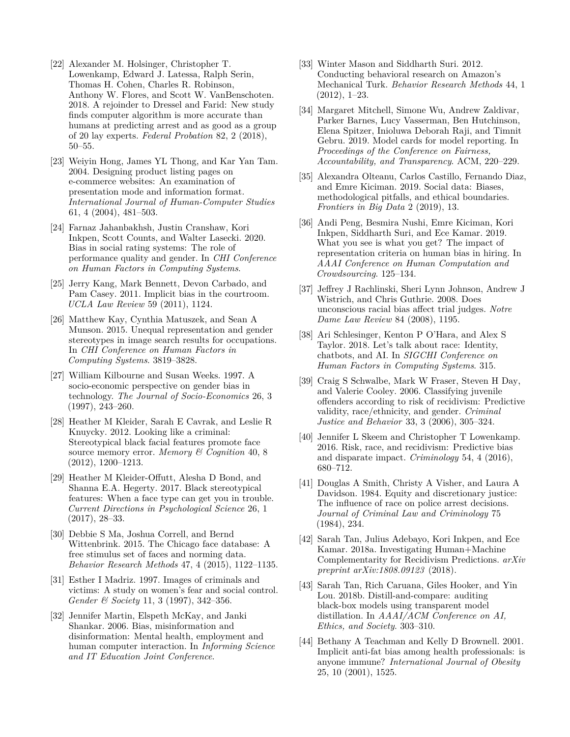- <span id="page-11-22"></span>[22] Alexander M. Holsinger, Christopher T. Lowenkamp, Edward J. Latessa, Ralph Serin, Thomas H. Cohen, Charles R. Robinson, Anthony W. Flores, and Scott W. VanBenschoten. 2018. A rejoinder to Dressel and Farid: New study finds computer algorithm is more accurate than humans at predicting arrest and as good as a group of 20 lay experts. *Federal Probation* 82, 2 (2018), 50–55.
- <span id="page-11-17"></span>[23] Weiyin Hong, James YL Thong, and Kar Yan Tam. 2004. Designing product listing pages on e-commerce websites: An examination of presentation mode and information format. *International Journal of Human-Computer Studies* 61, 4 (2004), 481–503.
- <span id="page-11-12"></span>[24] Farnaz Jahanbakhsh, Justin Cranshaw, Kori Inkpen, Scott Counts, and Walter Lasecki. 2020. Bias in social rating systems: The role of performance quality and gender. In *CHI Conference on Human Factors in Computing Systems*.
- <span id="page-11-6"></span>[25] Jerry Kang, Mark Bennett, Devon Carbado, and Pam Casey. 2011. Implicit bias in the courtroom. *UCLA Law Review* 59 (2011), 1124.
- <span id="page-11-16"></span>[26] Matthew Kay, Cynthia Matuszek, and Sean A Munson. 2015. Unequal representation and gender stereotypes in image search results for occupations. In *CHI Conference on Human Factors in Computing Systems*. 3819–3828.
- <span id="page-11-7"></span>[27] William Kilbourne and Susan Weeks. 1997. A socio-economic perspective on gender bias in technology. *The Journal of Socio-Economics* 26, 3 (1997), 243–260.
- <span id="page-11-18"></span>[28] Heather M Kleider, Sarah E Cavrak, and Leslie R Knuycky. 2012. Looking like a criminal: Stereotypical black facial features promote face source memory error. *Memory & Cognition* 40, 8 (2012), 1200–1213.
- <span id="page-11-1"></span>[29] Heather M Kleider-Offutt, Alesha D Bond, and Shanna E.A. Hegerty. 2017. Black stereotypical features: When a face type can get you in trouble. *Current Directions in Psychological Science* 26, 1 (2017), 28–33.
- <span id="page-11-20"></span>[30] Debbie S Ma, Joshua Correll, and Bernd Wittenbrink. 2015. The Chicago face database: A free stimulus set of faces and norming data. *Behavior Research Methods* 47, 4 (2015), 1122–1135.
- <span id="page-11-19"></span>[31] Esther I Madriz. 1997. Images of criminals and victims: A study on women's fear and social control. *Gender & Society* 11, 3 (1997), 342–356.
- <span id="page-11-8"></span>[32] Jennifer Martin, Elspeth McKay, and Janki Shankar. 2006. Bias, misinformation and disinformation: Mental health, employment and human computer interaction. In *Informing Science and IT Education Joint Conference*.
- <span id="page-11-21"></span>[33] Winter Mason and Siddharth Suri. 2012. Conducting behavioral research on Amazon's Mechanical Turk. *Behavior Research Methods* 44, 1 (2012), 1–23.
- <span id="page-11-11"></span>[34] Margaret Mitchell, Simone Wu, Andrew Zaldivar, Parker Barnes, Lucy Vasserman, Ben Hutchinson, Elena Spitzer, Inioluwa Deborah Raji, and Timnit Gebru. 2019. Model cards for model reporting. In *Proceedings of the Conference on Fairness, Accountability, and Transparency*. ACM, 220–229.
- <span id="page-11-10"></span>[35] Alexandra Olteanu, Carlos Castillo, Fernando Diaz, and Emre Kiciman. 2019. Social data: Biases, methodological pitfalls, and ethical boundaries. *Frontiers in Big Data* 2 (2019), 13.
- <span id="page-11-13"></span>[36] Andi Peng, Besmira Nushi, Emre Kiciman, Kori Inkpen, Siddharth Suri, and Ece Kamar. 2019. What you see is what you get? The impact of representation criteria on human bias in hiring. In *AAAI Conference on Human Computation and Crowdsourcing*. 125–134.
- <span id="page-11-4"></span>[37] Jeffrey J Rachlinski, Sheri Lynn Johnson, Andrew J Wistrich, and Chris Guthrie. 2008. Does unconscious racial bias affect trial judges. *Notre Dame Law Review* 84 (2008), 1195.
- <span id="page-11-9"></span>[38] Ari Schlesinger, Kenton P O'Hara, and Alex S Taylor. 2018. Let's talk about race: Identity, chatbots, and AI. In *SIGCHI Conference on Human Factors in Computing Systems*. 315.
- <span id="page-11-2"></span>[39] Craig S Schwalbe, Mark W Fraser, Steven H Day, and Valerie Cooley. 2006. Classifying juvenile offenders according to risk of recidivism: Predictive validity, race/ethnicity, and gender. *Criminal Justice and Behavior* 33, 3 (2006), 305–324.
- <span id="page-11-0"></span>[40] Jennifer L Skeem and Christopher T Lowenkamp. 2016. Risk, race, and recidivism: Predictive bias and disparate impact. *Criminology* 54, 4 (2016), 680–712.
- <span id="page-11-3"></span>[41] Douglas A Smith, Christy A Visher, and Laura A Davidson. 1984. Equity and discretionary justice: The influence of race on police arrest decisions. *Journal of Criminal Law and Criminology* 75 (1984), 234.
- <span id="page-11-15"></span>[42] Sarah Tan, Julius Adebayo, Kori Inkpen, and Ece Kamar. 2018a. Investigating Human+Machine Complementarity for Recidivism Predictions. *arXiv preprint arXiv:1808.09123* (2018).
- <span id="page-11-14"></span>[43] Sarah Tan, Rich Caruana, Giles Hooker, and Yin Lou. 2018b. Distill-and-compare: auditing black-box models using transparent model distillation. In *AAAI/ACM Conference on AI, Ethics, and Society*. 303–310.
- <span id="page-11-5"></span>[44] Bethany A Teachman and Kelly D Brownell. 2001. Implicit anti-fat bias among health professionals: is anyone immune? *International Journal of Obesity* 25, 10 (2001), 1525.